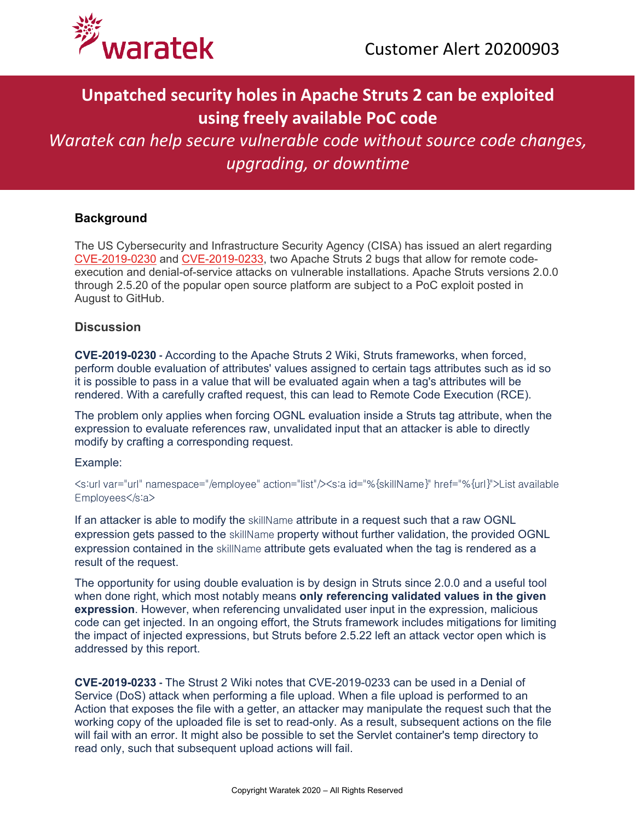

## **Unpatched security holes in Apache Struts 2 can be exploited using freely available PoC code**

# *Waratek can help secure vulnerable code without source code changes, upgrading, or downtime*

## **Background**

The US Cybersecurity and Infrastructure Security Agency (CISA) has issued an alert regarding [CVE-2019-0230](https://cwiki.apache.org/confluence/display/WW/S2-059) and [CVE-2019-0233,](https://cwiki.apache.org/confluence/display/WW/S2-060) two Apache Struts 2 bugs that allow for remote codeexecution and denial-of-service attacks on vulnerable installations. Apache Struts versions 2.0.0 through 2.5.20 of the popular open source platform are subject to a PoC exploit posted in August to GitHub.

#### **Discussion**

**CVE-2019-0230 -** According to the Apache Struts 2 Wiki, Struts frameworks, when forced, perform double evaluation of attributes' values assigned to certain tags attributes such as id so it is possible to pass in a value that will be evaluated again when a tag's attributes will be rendered. With a carefully crafted request, this can lead to Remote Code Execution (RCE).

The problem only applies when forcing OGNL evaluation inside a Struts tag attribute, when the expression to evaluate references raw, unvalidated input that an attacker is able to directly modify by crafting a corresponding request.

#### Example:

<s:url var="url" namespace="/employee" action="list"/><s:a id="%{skillName}" href="%{url}">List available Employees</s:a>

If an attacker is able to modify the skillName attribute in a request such that a raw OGNL expression gets passed to the skillName property without further validation, the provided OGNL expression contained in the skillName attribute gets evaluated when the tag is rendered as a result of the request.

The opportunity for using double evaluation is by design in Struts since 2.0.0 and a useful tool when done right, which most notably means **only referencing validated values in the given expression**. However, when referencing unvalidated user input in the expression, malicious code can get injected. In an ongoing effort, the Struts framework includes mitigations for limiting the impact of injected expressions, but Struts before 2.5.22 left an attack vector open which is addressed by this report.

**CVE-2019-0233 -** The Strust 2 Wiki notes that CVE-2019-0233 can be used in a Denial of Service (DoS) attack when performing a file upload. When a file upload is performed to an Action that exposes the file with a getter, an attacker may manipulate the request such that the working copy of the uploaded file is set to read-only. As a result, subsequent actions on the file will fail with an error. It might also be possible to set the Servlet container's temp directory to read only, such that subsequent upload actions will fail.